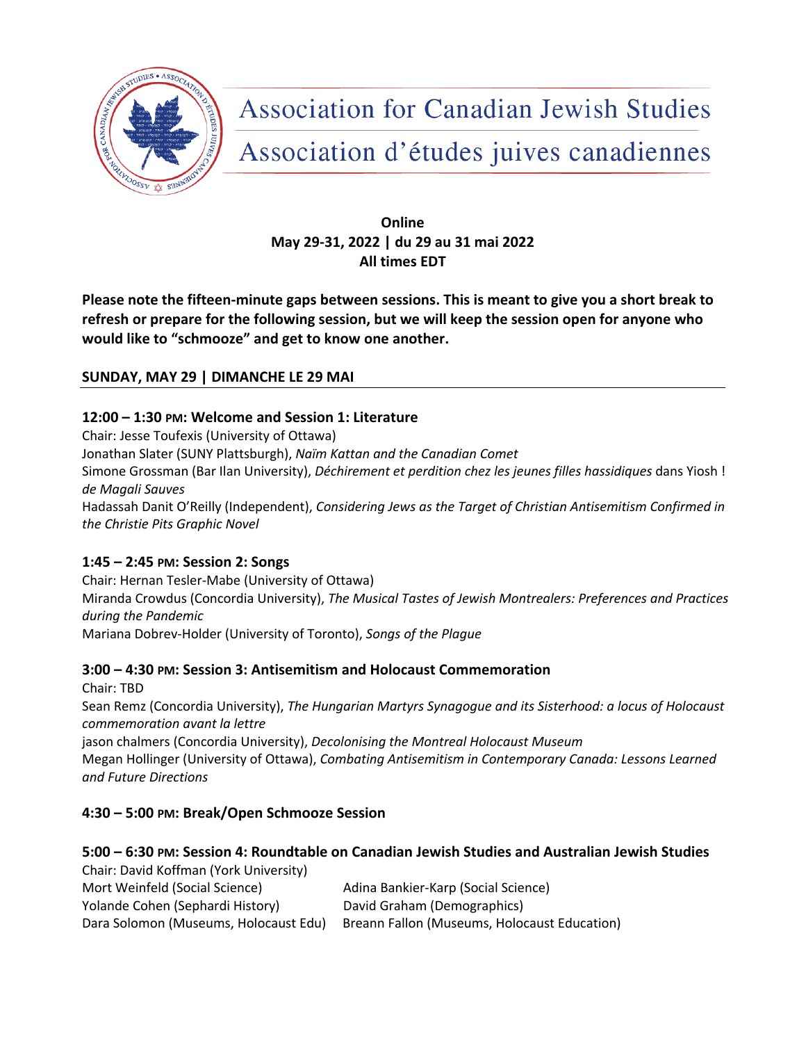

**Association for Canadian Jewish Studies** 

Association d'études juives canadiennes

# **Online May 29-31, 2022 | du 29 au 31 mai 2022 All times EDT**

**Please note the fifteen-minute gaps between sessions. This is meant to give you a short break to refresh or prepare for the following session, but we will keep the session open for anyone who would like to "schmooze" and get to know one another.**

# **SUNDAY, MAY 29 | DIMANCHE LE 29 MAI**

## **12:00 – 1:30 PM: Welcome and Session 1: Literature**

Chair: Jesse Toufexis (University of Ottawa) Jonathan Slater (SUNY Plattsburgh), *Naïm Kattan and the Canadian Comet* Simone Grossman (Bar Ilan University), *Déchirement et perdition chez les jeunes filles hassidiques* dans Yiosh ! *de Magali Sauves* Hadassah Danit O'Reilly (Independent), *Considering Jews as the Target of Christian Antisemitism Confirmed in the Christie Pits Graphic Novel*

# **1:45 – 2:45 PM: Session 2: Songs**

Chair: Hernan Tesler-Mabe (University of Ottawa) Miranda Crowdus (Concordia University), *The Musical Tastes of Jewish Montrealers: Preferences and Practices during the Pandemic* Mariana Dobrev-Holder (University of Toronto), *Songs of the Plague*

## **3:00 – 4:30 PM: Session 3: Antisemitism and Holocaust Commemoration**

Chair: TBD Sean Remz (Concordia University), *The Hungarian Martyrs Synagogue and its Sisterhood: a locus of Holocaust commemoration avant la lettre* jason chalmers (Concordia University), *Decolonising the Montreal Holocaust Museum* Megan Hollinger (University of Ottawa), *Combating Antisemitism in Contemporary Canada: Lessons Learned* 

*and Future Directions*

# **4:30 – 5:00 PM: Break/Open Schmooze Session**

# **5:00 – 6:30 PM: Session 4: Roundtable on Canadian Jewish Studies and Australian Jewish Studies**

Chair: David Koffman (York University) Mort Weinfeld (Social Science) Adina Bankier-Karp (Social Science) Yolande Cohen (Sephardi History) David Graham (Demographics) Dara Solomon (Museums, Holocaust Edu) Breann Fallon (Museums, Holocaust Education)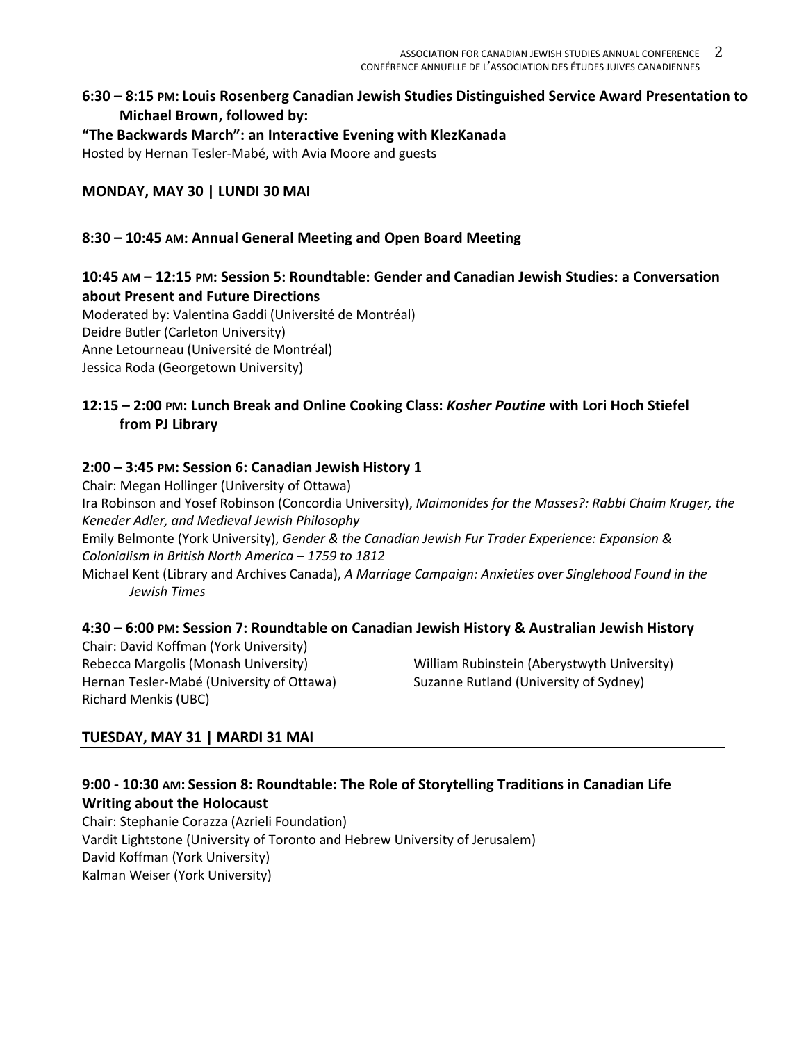### **6:30 – 8:15 PM: Louis Rosenberg Canadian Jewish Studies Distinguished Service Award Presentation to Michael Brown, followed by:**

**"The Backwards March": an Interactive Evening with KlezKanada**

Hosted by Hernan Tesler-Mabé, with Avia Moore and guests

## **MONDAY, MAY 30 | LUNDI 30 MAI**

### **8:30 – 10:45 AM: Annual General Meeting and Open Board Meeting**

## **10:45 AM – 12:15 PM: Session 5: Roundtable: Gender and Canadian Jewish Studies: a Conversation about Present and Future Directions**

Moderated by: Valentina Gaddi (Université de Montréal) Deidre Butler (Carleton University) Anne Letourneau (Université de Montréal) Jessica Roda (Georgetown University)

## **12:15 – 2:00 PM: Lunch Break and Online Cooking Class:** *Kosher Poutine* **with Lori Hoch Stiefel from PJ Library**

### **2:00 – 3:45 PM: Session 6: Canadian Jewish History 1**

Chair: Megan Hollinger (University of Ottawa) Ira Robinson and Yosef Robinson (Concordia University), *Maimonides for the Masses?: Rabbi Chaim Kruger, the Keneder Adler, and Medieval Jewish Philosophy* Emily Belmonte (York University), *Gender & the Canadian Jewish Fur Trader Experience: Expansion & Colonialism in British North America – 1759 to 1812* Michael Kent (Library and Archives Canada), *A Marriage Campaign: Anxieties over Singlehood Found in the* 

*Jewish Times*

#### **4:30 – 6:00 PM: Session 7: Roundtable on Canadian Jewish History & Australian Jewish History**

Chair: David Koffman (York University) Hernan Tesler-Mabé (University of Ottawa) Suzanne Rutland (University of Sydney) Richard Menkis (UBC)

Rebecca Margolis (Monash University) William Rubinstein (Aberystwyth University)

## **TUESDAY, MAY 31 | MARDI 31 MAI**

### **9:00 - 10:30 AM: Session 8: Roundtable: The Role of Storytelling Traditions in Canadian Life Writing about the Holocaust**

Chair: Stephanie Corazza (Azrieli Foundation) Vardit Lightstone (University of Toronto and Hebrew University of Jerusalem) David Koffman (York University) Kalman Weiser (York University)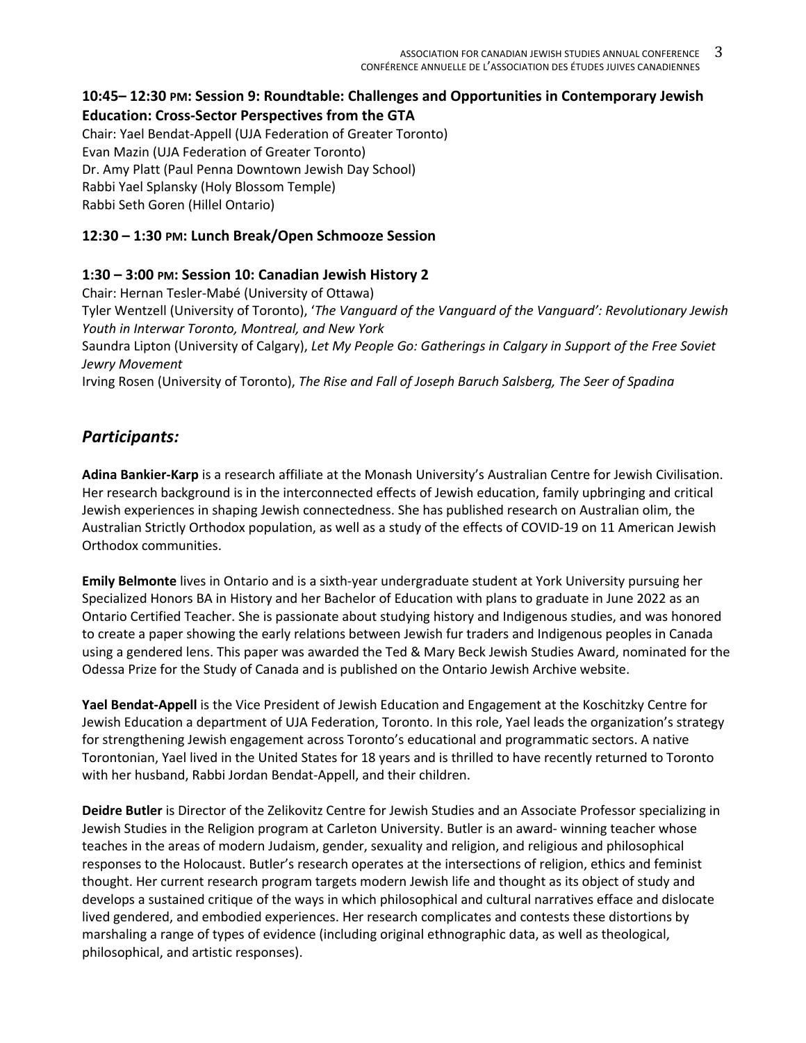### **10:45– 12:30 PM: Session 9: Roundtable: Challenges and Opportunities in Contemporary Jewish Education: Cross-Sector Perspectives from the GTA**

Chair: Yael Bendat-Appell (UJA Federation of Greater Toronto) Evan Mazin (UJA Federation of Greater Toronto) Dr. Amy Platt (Paul Penna Downtown Jewish Day School) Rabbi Yael Splansky (Holy Blossom Temple) Rabbi Seth Goren (Hillel Ontario)

### **12:30 – 1:30 PM: Lunch Break/Open Schmooze Session**

### **1:30 – 3:00 PM: Session 10: Canadian Jewish History 2**

Chair: Hernan Tesler-Mabé (University of Ottawa) Tyler Wentzell (University of Toronto), '*The Vanguard of the Vanguard of the Vanguard': Revolutionary Jewish Youth in Interwar Toronto, Montreal, and New York* Saundra Lipton (University of Calgary), *Let My People Go: Gatherings in Calgary in Support of the Free Soviet Jewry Movement* Irving Rosen (University of Toronto), *The Rise and Fall of Joseph Baruch Salsberg, The Seer of Spadina*

# *Participants:*

**Adina Bankier-Karp** is a research affiliate at the Monash University's Australian Centre for Jewish Civilisation. Her research background is in the interconnected effects of Jewish education, family upbringing and critical Jewish experiences in shaping Jewish connectedness. She has published research on Australian olim, the Australian Strictly Orthodox population, as well as a study of the effects of COVID-19 on 11 American Jewish Orthodox communities.

**Emily Belmonte** lives in Ontario and is a sixth-year undergraduate student at York University pursuing her Specialized Honors BA in History and her Bachelor of Education with plans to graduate in June 2022 as an Ontario Certified Teacher. She is passionate about studying history and Indigenous studies, and was honored to create a paper showing the early relations between Jewish fur traders and Indigenous peoples in Canada using a gendered lens. This paper was awarded the Ted & Mary Beck Jewish Studies Award, nominated for the Odessa Prize for the Study of Canada and is published on the Ontario Jewish Archive website.

**Yael Bendat-Appell** is the Vice President of Jewish Education and Engagement at the Koschitzky Centre for Jewish Education a department of UJA Federation, Toronto. In this role, Yael leads the organization's strategy for strengthening Jewish engagement across Toronto's educational and programmatic sectors. A native Torontonian, Yael lived in the United States for 18 years and is thrilled to have recently returned to Toronto with her husband, Rabbi Jordan Bendat-Appell, and their children.

**Deidre Butler** is Director of the Zelikovitz Centre for Jewish Studies and an Associate Professor specializing in Jewish Studies in the Religion program at Carleton University. Butler is an award- winning teacher whose teaches in the areas of modern Judaism, gender, sexuality and religion, and religious and philosophical responses to the Holocaust. Butler's research operates at the intersections of religion, ethics and feminist thought. Her current research program targets modern Jewish life and thought as its object of study and develops a sustained critique of the ways in which philosophical and cultural narratives efface and dislocate lived gendered, and embodied experiences. Her research complicates and contests these distortions by marshaling a range of types of evidence (including original ethnographic data, as well as theological, philosophical, and artistic responses).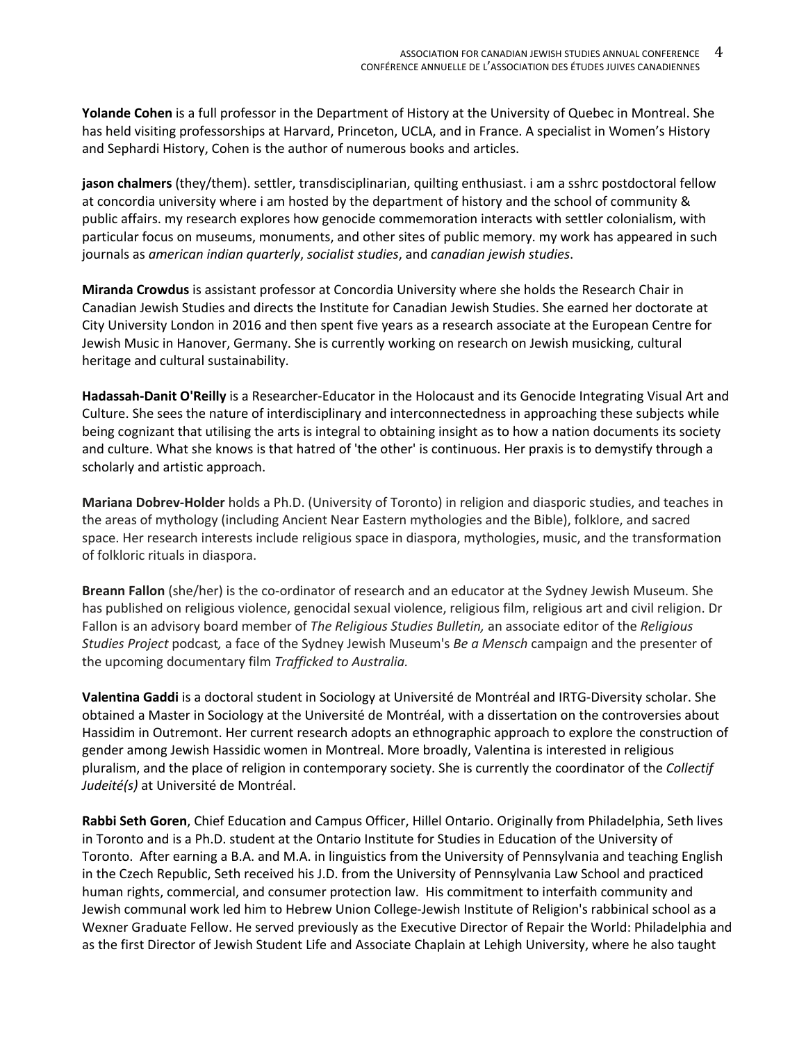**Yolande Cohen** is a full professor in the Department of History at the University of Quebec in Montreal. She has held visiting professorships at Harvard, Princeton, UCLA, and in France. A specialist in Women's History and Sephardi History, Cohen is the author of numerous books and articles.

**jason chalmers** (they/them). settler, transdisciplinarian, quilting enthusiast. i am a sshrc postdoctoral fellow at concordia university where i am hosted by the department of history and the school of community & public affairs. my research explores how genocide commemoration interacts with settler colonialism, with particular focus on museums, monuments, and other sites of public memory. my work has appeared in such journals as *american indian quarterly*, *socialist studies*, and *canadian jewish studies*.

**Miranda Crowdus** is assistant professor at Concordia University where she holds the Research Chair in Canadian Jewish Studies and directs the Institute for Canadian Jewish Studies. She earned her doctorate at City University London in 2016 and then spent five years as a research associate at the European Centre for Jewish Music in Hanover, Germany. She is currently working on research on Jewish musicking, cultural heritage and cultural sustainability.

**Hadassah-Danit O'Reilly** is a Researcher-Educator in the Holocaust and its Genocide Integrating Visual Art and Culture. She sees the nature of interdisciplinary and interconnectedness in approaching these subjects while being cognizant that utilising the arts is integral to obtaining insight as to how a nation documents its society and culture. What she knows is that hatred of 'the other' is continuous. Her praxis is to demystify through a scholarly and artistic approach.

**Mariana Dobrev-Holder** holds a Ph.D. (University of Toronto) in religion and diasporic studies, and teaches in the areas of mythology (including Ancient Near Eastern mythologies and the Bible), folklore, and sacred space. Her research interests include religious space in diaspora, mythologies, music, and the transformation of folkloric rituals in diaspora.

**Breann Fallon** (she/her) is the co-ordinator of research and an educator at the Sydney Jewish Museum. She has published on religious violence, genocidal sexual violence, religious film, religious art and civil religion. Dr Fallon is an advisory board member of *The Religious Studies Bulletin,* an associate editor of the *Religious Studies Project* podcast*,* a face of the Sydney Jewish Museum's *Be a Mensch* campaign and the presenter of the upcoming documentary film *Trafficked to Australia.*

**Valentina Gaddi** is a doctoral student in Sociology at Université de Montréal and IRTG-Diversity scholar. She obtained a Master in Sociology at the Université de Montréal, with a dissertation on the controversies about Hassidim in Outremont. Her current research adopts an ethnographic approach to explore the construction of gender among Jewish Hassidic women in Montreal. More broadly, Valentina is interested in religious pluralism, and the place of religion in contemporary society. She is currently the coordinator of the *Collectif Judeité(s)* at Université de Montréal.

**Rabbi Seth Goren**, Chief Education and Campus Officer, Hillel Ontario. Originally from Philadelphia, Seth lives in Toronto and is a Ph.D. student at the Ontario Institute for Studies in Education of the University of Toronto. After earning a B.A. and M.A. in linguistics from the University of Pennsylvania and teaching English in the Czech Republic, Seth received his J.D. from the University of Pennsylvania Law School and practiced human rights, commercial, and consumer protection law. His commitment to interfaith community and Jewish communal work led him to Hebrew Union College-Jewish Institute of Religion's rabbinical school as a Wexner Graduate Fellow. He served previously as the Executive Director of Repair the World: Philadelphia and as the first Director of Jewish Student Life and Associate Chaplain at Lehigh University, where he also taught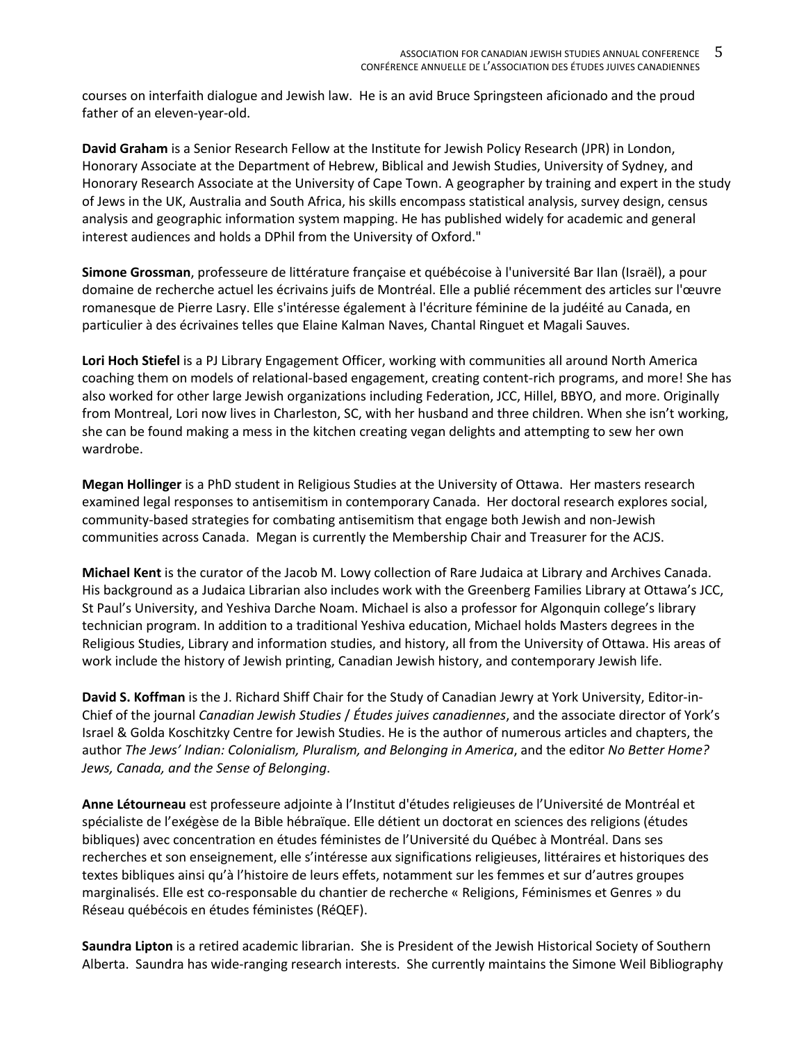courses on interfaith dialogue and Jewish law. He is an avid Bruce Springsteen aficionado and the proud father of an eleven-year-old.

**David Graham** is a Senior Research Fellow at the Institute for Jewish Policy Research (JPR) in London, Honorary Associate at the Department of Hebrew, Biblical and Jewish Studies, University of Sydney, and Honorary Research Associate at the University of Cape Town. A geographer by training and expert in the study of Jews in the UK, Australia and South Africa, his skills encompass statistical analysis, survey design, census analysis and geographic information system mapping. He has published widely for academic and general interest audiences and holds a DPhil from the University of Oxford."

**Simone Grossman**, professeure de littérature française et québécoise à l'université Bar Ilan (Israël), a pour domaine de recherche actuel les écrivains juifs de Montréal. Elle a publié récemment des articles sur l'œuvre romanesque de Pierre Lasry. Elle s'intéresse également à l'écriture féminine de la judéité au Canada, en particulier à des écrivaines telles que Elaine Kalman Naves, Chantal Ringuet et Magali Sauves.

**Lori Hoch Stiefel** is a PJ Library Engagement Officer, working with communities all around North America coaching them on models of relational-based engagement, creating content-rich programs, and more! She has also worked for other large Jewish organizations including Federation, JCC, Hillel, BBYO, and more. Originally from Montreal, Lori now lives in Charleston, SC, with her husband and three children. When she isn't working, she can be found making a mess in the kitchen creating vegan delights and attempting to sew her own wardrobe.

**Megan Hollinger** is a PhD student in Religious Studies at the University of Ottawa. Her masters research examined legal responses to antisemitism in contemporary Canada. Her doctoral research explores social, community-based strategies for combating antisemitism that engage both Jewish and non-Jewish communities across Canada. Megan is currently the Membership Chair and Treasurer for the ACJS.

**Michael Kent** is the curator of the Jacob M. Lowy collection of Rare Judaica at Library and Archives Canada. His background as a Judaica Librarian also includes work with the Greenberg Families Library at Ottawa's JCC, St Paul's University, and Yeshiva Darche Noam. Michael is also a professor for Algonquin college's library technician program. In addition to a traditional Yeshiva education, Michael holds Masters degrees in the Religious Studies, Library and information studies, and history, all from the University of Ottawa. His areas of work include the history of Jewish printing, Canadian Jewish history, and contemporary Jewish life.

**David S. Koffman** is the J. Richard Shiff Chair for the Study of Canadian Jewry at York University, Editor-in-Chief of the journal *Canadian Jewish Studies* / *Études juives canadiennes*, and the associate director of York's Israel & Golda Koschitzky Centre for Jewish Studies. He is the author of numerous articles and chapters, the author *The Jews' Indian: Colonialism, Pluralism, and Belonging in America*, and the editor *No Better Home? Jews, Canada, and the Sense of Belonging*.

**Anne Létourneau** est professeure adjointe à l'Institut d'études religieuses de l'Université de Montréal et spécialiste de l'exégèse de la Bible hébraïque. Elle détient un doctorat en sciences des religions (études bibliques) avec concentration en études féministes de l'Université du Québec à Montréal. Dans ses recherches et son enseignement, elle s'intéresse aux significations religieuses, littéraires et historiques des textes bibliques ainsi qu'à l'histoire de leurs effets, notamment sur les femmes et sur d'autres groupes marginalisés. Elle est co-responsable du chantier de recherche « Religions, Féminismes et Genres » du Réseau québécois en études féministes (RéQEF).

**Saundra Lipton** is a retired academic librarian. She is President of the Jewish Historical Society of Southern Alberta. Saundra has wide-ranging research interests. She currently maintains the Simone Weil Bibliography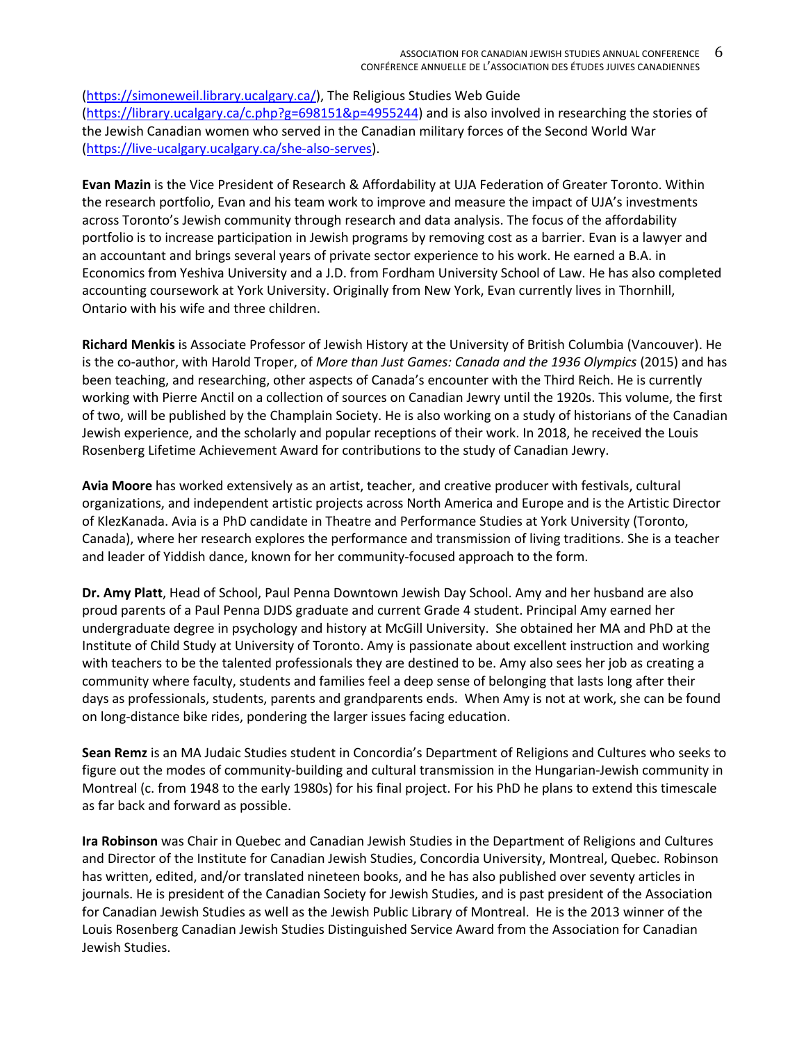(https://simoneweil.library.ucalgary.ca/), The Religious Studies Web Guide (https://library.ucalgary.ca/c.php?g=698151&p=4955244) and is also involved in researching the stories of the Jewish Canadian women who served in the Canadian military forces of the Second World War (https://live-ucalgary.ucalgary.ca/she-also-serves).

**Evan Mazin** is the Vice President of Research & Affordability at UJA Federation of Greater Toronto. Within the research portfolio, Evan and his team work to improve and measure the impact of UJA's investments across Toronto's Jewish community through research and data analysis. The focus of the affordability portfolio is to increase participation in Jewish programs by removing cost as a barrier. Evan is a lawyer and an accountant and brings several years of private sector experience to his work. He earned a B.A. in Economics from Yeshiva University and a J.D. from Fordham University School of Law. He has also completed accounting coursework at York University. Originally from New York, Evan currently lives in Thornhill, Ontario with his wife and three children.

**Richard Menkis** is Associate Professor of Jewish History at the University of British Columbia (Vancouver). He is the co-author, with Harold Troper, of *More than Just Games: Canada and the 1936 Olympics* (2015) and has been teaching, and researching, other aspects of Canada's encounter with the Third Reich. He is currently working with Pierre Anctil on a collection of sources on Canadian Jewry until the 1920s. This volume, the first of two, will be published by the Champlain Society. He is also working on a study of historians of the Canadian Jewish experience, and the scholarly and popular receptions of their work. In 2018, he received the Louis Rosenberg Lifetime Achievement Award for contributions to the study of Canadian Jewry.

**Avia Moore** has worked extensively as an artist, teacher, and creative producer with festivals, cultural organizations, and independent artistic projects across North America and Europe and is the Artistic Director of KlezKanada. Avia is a PhD candidate in Theatre and Performance Studies at York University (Toronto, Canada), where her research explores the performance and transmission of living traditions. She is a teacher and leader of Yiddish dance, known for her community-focused approach to the form.

**Dr. Amy Platt**, Head of School, Paul Penna Downtown Jewish Day School. Amy and her husband are also proud parents of a Paul Penna DJDS graduate and current Grade 4 student. Principal Amy earned her undergraduate degree in psychology and history at McGill University. She obtained her MA and PhD at the Institute of Child Study at University of Toronto. Amy is passionate about excellent instruction and working with teachers to be the talented professionals they are destined to be. Amy also sees her job as creating a community where faculty, students and families feel a deep sense of belonging that lasts long after their days as professionals, students, parents and grandparents ends. When Amy is not at work, she can be found on long-distance bike rides, pondering the larger issues facing education.

**Sean Remz** is an MA Judaic Studies student in Concordia's Department of Religions and Cultures who seeks to figure out the modes of community-building and cultural transmission in the Hungarian-Jewish community in Montreal (c. from 1948 to the early 1980s) for his final project. For his PhD he plans to extend this timescale as far back and forward as possible.

**Ira Robinson** was Chair in Quebec and Canadian Jewish Studies in the Department of Religions and Cultures and Director of the Institute for Canadian Jewish Studies, Concordia University, Montreal, Quebec. Robinson has written, edited, and/or translated nineteen books, and he has also published over seventy articles in journals. He is president of the Canadian Society for Jewish Studies, and is past president of the Association for Canadian Jewish Studies as well as the Jewish Public Library of Montreal. He is the 2013 winner of the Louis Rosenberg Canadian Jewish Studies Distinguished Service Award from the Association for Canadian Jewish Studies.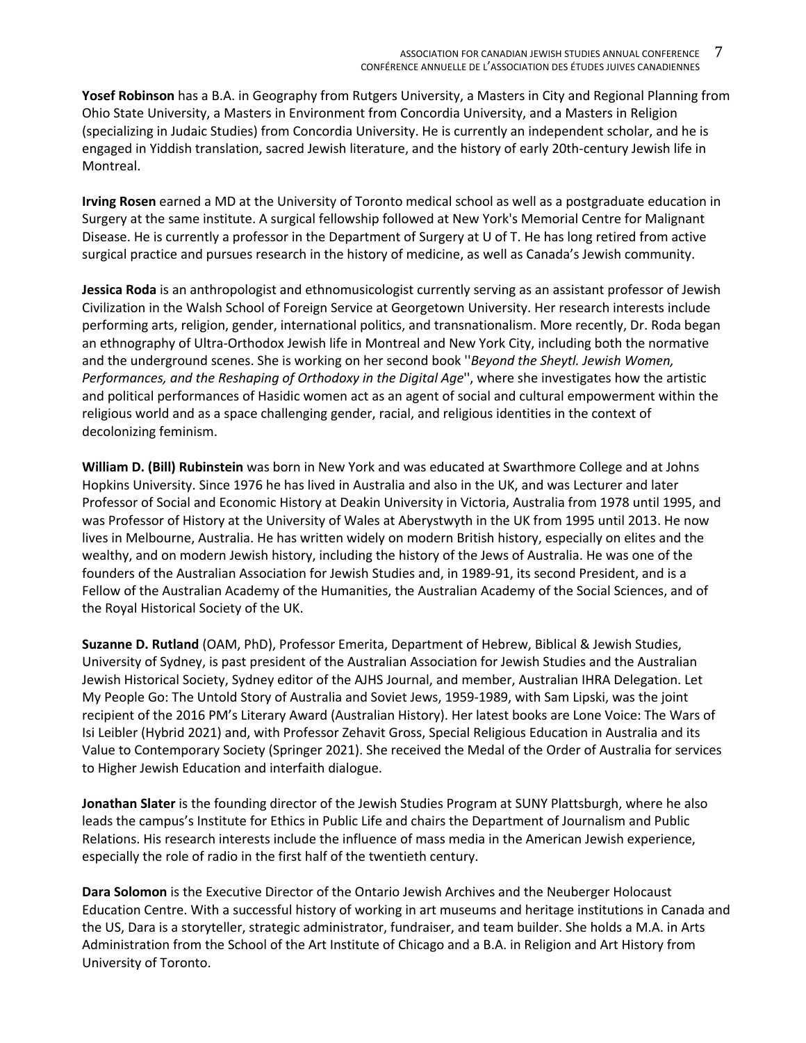**Yosef Robinson** has a B.A. in Geography from Rutgers University, a Masters in City and Regional Planning from Ohio State University, a Masters in Environment from Concordia University, and a Masters in Religion (specializing in Judaic Studies) from Concordia University. He is currently an independent scholar, and he is engaged in Yiddish translation, sacred Jewish literature, and the history of early 20th-century Jewish life in Montreal.

**Irving Rosen** earned a MD at the University of Toronto medical school as well as a postgraduate education in Surgery at the same institute. A surgical fellowship followed at New York's Memorial Centre for Malignant Disease. He is currently a professor in the Department of Surgery at U of T. He has long retired from active surgical practice and pursues research in the history of medicine, as well as Canada's Jewish community.

**Jessica Roda** is an anthropologist and ethnomusicologist currently serving as an assistant professor of Jewish Civilization in the Walsh School of Foreign Service at Georgetown University. Her research interests include performing arts, religion, gender, international politics, and transnationalism. More recently, Dr. Roda began an ethnography of Ultra-Orthodox Jewish life in Montreal and New York City, including both the normative and the underground scenes. She is working on her second book ''*Beyond the Sheytl. Jewish Women, Performances, and the Reshaping of Orthodoxy in the Digital Age*'', where she investigates how the artistic and political performances of Hasidic women act as an agent of social and cultural empowerment within the religious world and as a space challenging gender, racial, and religious identities in the context of decolonizing feminism.

**William D. (Bill) Rubinstein** was born in New York and was educated at Swarthmore College and at Johns Hopkins University. Since 1976 he has lived in Australia and also in the UK, and was Lecturer and later Professor of Social and Economic History at Deakin University in Victoria, Australia from 1978 until 1995, and was Professor of History at the University of Wales at Aberystwyth in the UK from 1995 until 2013. He now lives in Melbourne, Australia. He has written widely on modern British history, especially on elites and the wealthy, and on modern Jewish history, including the history of the Jews of Australia. He was one of the founders of the Australian Association for Jewish Studies and, in 1989-91, its second President, and is a Fellow of the Australian Academy of the Humanities, the Australian Academy of the Social Sciences, and of the Royal Historical Society of the UK.

**Suzanne D. Rutland** (OAM, PhD), Professor Emerita, Department of Hebrew, Biblical & Jewish Studies, University of Sydney, is past president of the Australian Association for Jewish Studies and the Australian Jewish Historical Society, Sydney editor of the AJHS Journal, and member, Australian IHRA Delegation. Let My People Go: The Untold Story of Australia and Soviet Jews, 1959-1989, with Sam Lipski, was the joint recipient of the 2016 PM's Literary Award (Australian History). Her latest books are Lone Voice: The Wars of Isi Leibler (Hybrid 2021) and, with Professor Zehavit Gross, Special Religious Education in Australia and its Value to Contemporary Society (Springer 2021). She received the Medal of the Order of Australia for services to Higher Jewish Education and interfaith dialogue.

**Jonathan Slater** is the founding director of the Jewish Studies Program at SUNY Plattsburgh, where he also leads the campus's Institute for Ethics in Public Life and chairs the Department of Journalism and Public Relations. His research interests include the influence of mass media in the American Jewish experience, especially the role of radio in the first half of the twentieth century.

**Dara Solomon** is the Executive Director of the Ontario Jewish Archives and the Neuberger Holocaust Education Centre. With a successful history of working in art museums and heritage institutions in Canada and the US, Dara is a storyteller, strategic administrator, fundraiser, and team builder. She holds a M.A. in Arts Administration from the School of the Art Institute of Chicago and a B.A. in Religion and Art History from University of Toronto.